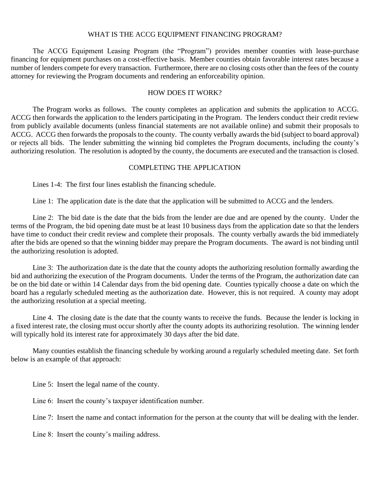## WHAT IS THE ACCG EQUIPMENT FINANCING PROGRAM?

The ACCG Equipment Leasing Program (the "Program") provides member counties with lease-purchase financing for equipment purchases on a cost-effective basis. Member counties obtain favorable interest rates because a number of lenders compete for every transaction. Furthermore, there are no closing costs other than the fees of the county attorney for reviewing the Program documents and rendering an enforceability opinion.

## HOW DOES IT WORK?

The Program works as follows. The county completes an application and submits the application to ACCG. ACCG then forwards the application to the lenders participating in the Program. The lenders conduct their credit review from publicly available documents (unless financial statements are not available online) and submit their proposals to ACCG. ACCG then forwards the proposals to the county. The county verbally awards the bid (subject to board approval) or rejects all bids. The lender submitting the winning bid completes the Program documents, including the county's authorizing resolution. The resolution is adopted by the county, the documents are executed and the transaction is closed.

## COMPLETING THE APPLICATION

Lines 1-4: The first four lines establish the financing schedule.

Line 1: The application date is the date that the application will be submitted to ACCG and the lenders.

Line 2: The bid date is the date that the bids from the lender are due and are opened by the county. Under the terms of the Program, the bid opening date must be at least 10 business days from the application date so that the lenders have time to conduct their credit review and complete their proposals. The county verbally awards the bid immediately after the bids are opened so that the winning bidder may prepare the Program documents. The award is not binding until the authorizing resolution is adopted.

Line 3: The authorization date is the date that the county adopts the authorizing resolution formally awarding the bid and authorizing the execution of the Program documents. Under the terms of the Program, the authorization date can be on the bid date or within 14 Calendar days from the bid opening date. Counties typically choose a date on which the board has a regularly scheduled meeting as the authorization date. However, this is not required. A county may adopt the authorizing resolution at a special meeting.

Line 4. The closing date is the date that the county wants to receive the funds. Because the lender is locking in a fixed interest rate, the closing must occur shortly after the county adopts its authorizing resolution. The winning lender will typically hold its interest rate for approximately 30 days after the bid date.

Many counties establish the financing schedule by working around a regularly scheduled meeting date. Set forth below is an example of that approach:

Line 5: Insert the legal name of the county.

Line 6: Insert the county's taxpayer identification number.

Line 7: Insert the name and contact information for the person at the county that will be dealing with the lender.

Line 8: Insert the county's mailing address.